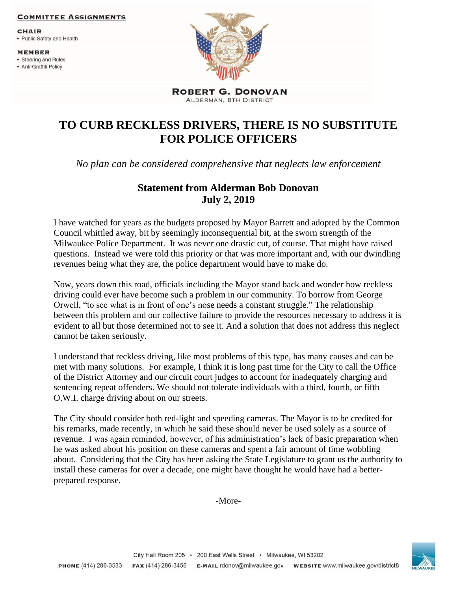## **COMMITTEE ASSIGNMENTS**

**CHAIR** 

• Public Safety and Health

**MEMBER** 

- Steering and Rules
- Anti-Graffiti Policy



**ROBERT G. DONOVAN** ALDERMAN, 8TH DISTRICT

## **TO CURB RECKLESS DRIVERS, THERE IS NO SUBSTITUTE FOR POLICE OFFICERS**

*No plan can be considered comprehensive that neglects law enforcement*

## **Statement from Alderman Bob Donovan July 2, 2019**

I have watched for years as the budgets proposed by Mayor Barrett and adopted by the Common Council whittled away, bit by seemingly inconsequential bit, at the sworn strength of the Milwaukee Police Department. It was never one drastic cut, of course. That might have raised questions. Instead we were told this priority or that was more important and, with our dwindling revenues being what they are, the police department would have to make do.

Now, years down this road, officials including the Mayor stand back and wonder how reckless driving could ever have become such a problem in our community. To borrow from George Orwell, "to see what is in front of one's nose needs a constant struggle." The relationship between this problem and our collective failure to provide the resources necessary to address it is evident to all but those determined not to see it. And a solution that does not address this neglect cannot be taken seriously.

I understand that reckless driving, like most problems of this type, has many causes and can be met with many solutions. For example, I think it is long past time for the City to call the Office of the District Attorney and our circuit court judges to account for inadequately charging and sentencing repeat offenders. We should not tolerate individuals with a third, fourth, or fifth O.W.I. charge driving about on our streets.

The City should consider both red-light and speeding cameras. The Mayor is to be credited for his remarks, made recently, in which he said these should never be used solely as a source of revenue. I was again reminded, however, of his administration's lack of basic preparation when he was asked about his position on these cameras and spent a fair amount of time wobbling about. Considering that the City has been asking the State Legislature to grant us the authority to install these cameras for over a decade, one might have thought he would have had a betterprepared response.

-More-